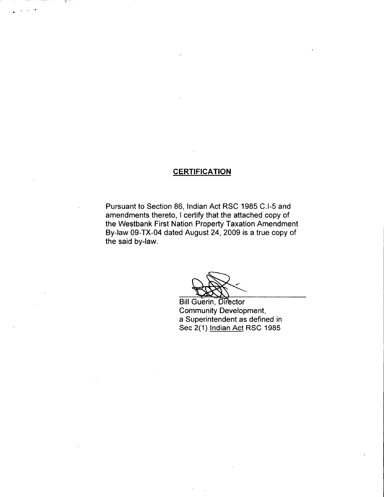# **CERTIFICATION**

Pursuant to Section 86, Indian Act RSC 1985 C.I-5 and amendments thereto, I certify that the attached copy of the Westbank First Nation Property Taxation Amendment By -law 09 -TX -04 dated August 24, 2009 is a true copy of the said by-law.

Bill Guerin, Director Community Development, a Superintendent as defined in Sec 2(1) Indian Act RSC 1985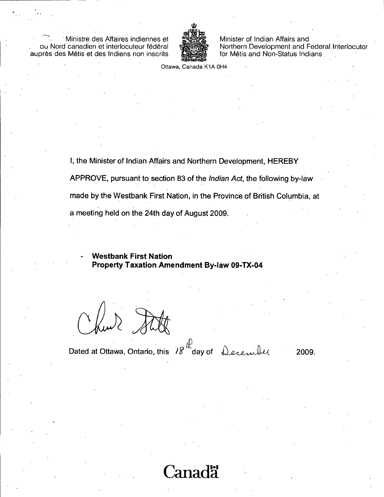Ministre des Affaires indiennes et ou Nord canadien et interlocuteur fédéral auprès des Métis et des Indiens non inscrits



Minister of Indian Affairs and Northern Development and Federal Interlocutor for Métis and Non-Status Indians.

Ottawa, Canada K1A 0H4

I, the Minister of Indian Affairs and Northern Development, HEREBY

APPROVE, pursuant to section 83 of the *Indian Act*, the following by-law

made by the Westbank First Nation, in the Province of British Columbia, at

a meeting held on the 24th day of August 2009.

**Westbank First Nation Property Taxation Amendment By-law 09-TX-04** 

Dated at Ottawa, Ontario, this  $18^{11}$  day of December

2009.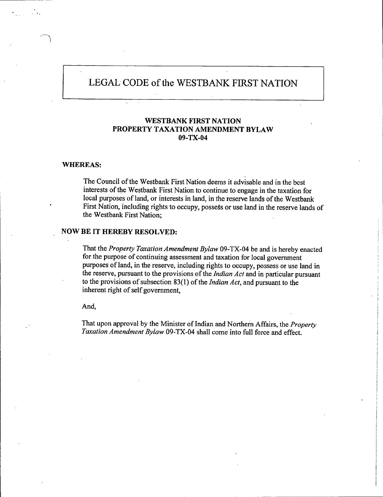# LEGAL CODE of the WESTBANK FIRST NATION

## WESTBANK FIRST NATION PROPERTY TAXATION AMENDMENT BYLAW 09-TX-04

#### WHEREAS:

The Council of the Westbank First Nation deems it advisable and in the best interests of the Westbank First Nation to continue to engage in the taxation for local purposes of land, or interests in land, in the reserve lands of the Westbank First Nation, including rights to occupy, possess or use land in the reserve lands of the Westbank First Nation;

### NOW BE IT HEREBY RESOLVED:

That the Property Taxation Amendment Bylaw 09-TX-04 be and is hereby enacted for the purpose of continuing assessment and taxation for local government purposes of land, in the reserve, including rights to occupy, possess or use land in the reserve, pursuant to the provisions of the Indian Act and in particular pursuant to the provisions of subsection  $83(1)$  of the *Indian Act*, and pursuant to the inherent right of self government,

And,

That upon approval by the Minister of Indian and Northern Affairs, the Property Taxation Amendment Bylaw 09-TX-04 shall come into full force and effect.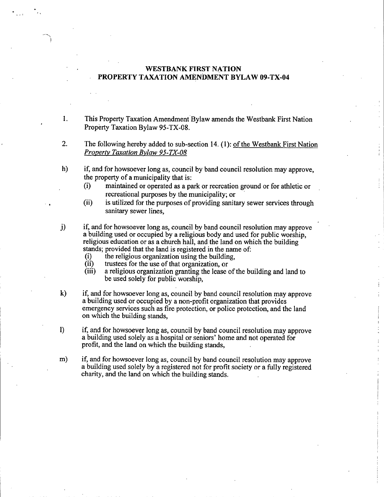#### WESTBANK FIRST NATION PROPERTY TAXATION AMENDMENT BYLAW 09-TX-04

- 1. This Property Taxation Amendment Bylaw amends the Westbank First Nation Property Taxation Bylaw 95-TX-08.
- 2. The following hereby added to sub section 14. (1): of the Westbank First Nation Property Taxation Bylaw 95-TX-08
- h) if, and for howsoever long as, council by band council resolution may approve, the property of a municipality that is:<br>(i) maintained or operated as a pay
	- i) maintained or operated as <sup>a</sup> park or recreation ground or for athletic or recreational purposes by the municipality; or
	- (ii) is utilized for the purposes of providing sanitary sewer services through sanitary sewer lines,
- j) if, and for howsoever long as, council by band council resolution may approve a building used or occupied by a religious body and used for public worship, religious education or as a church hall, and the land on which the building stands; provided that the land is registered in the name of: religious education or as a church hall, and the land of values of the religious organization using the building,<br>(i) the religious organization using the building,<br>(ii) trustees for the use of that organization or
	- (i) the religious organization using the building,<br>
	(ii) trustees for the use of that organization, or<br>
	(iii) a religious organization granting the lease of
	-
	- a religious organization granting the lease of the building and land to be used solely for public worship,
- k) if, and for howsoever long as, council by band council resolution may approve a building used or occupied by a non - profit organization that provides emergency services such as fire protection, or police protection, and the land on which the building stands,
- 1) if, and for howsoever long as, council by band council resolution may approve a building used solely as a hospital or seniors' home and not operated for profit, and the land on which the building stands,
- m) if, and for howsoever long as, council by band council resolution may approve a building used solely by a registered not for profit society or a fully registered charity, and the land on which the building stands.